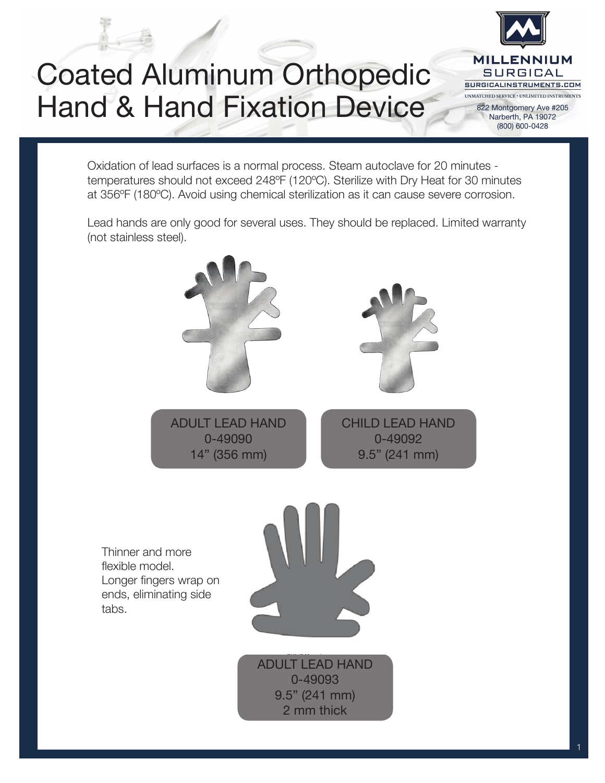## Coated Aluminum Orthopedic Hand & Hand Fixation Device



822 Montgomery Ave #205 Narberth, PA 19072 (800) 600-0428

Oxidation of lead surfaces is a normal process. Steam autoclave for 20 minutes temperatures should not exceed 248ºF (120ºC). Sterilize with Dry Heat for 30 minutes at 356ºF (180ºC). Avoid using chemical sterilization as it can cause severe corrosion.

Lead hands are only good for several uses. They should be replaced. Limited warranty (not stainless steel).